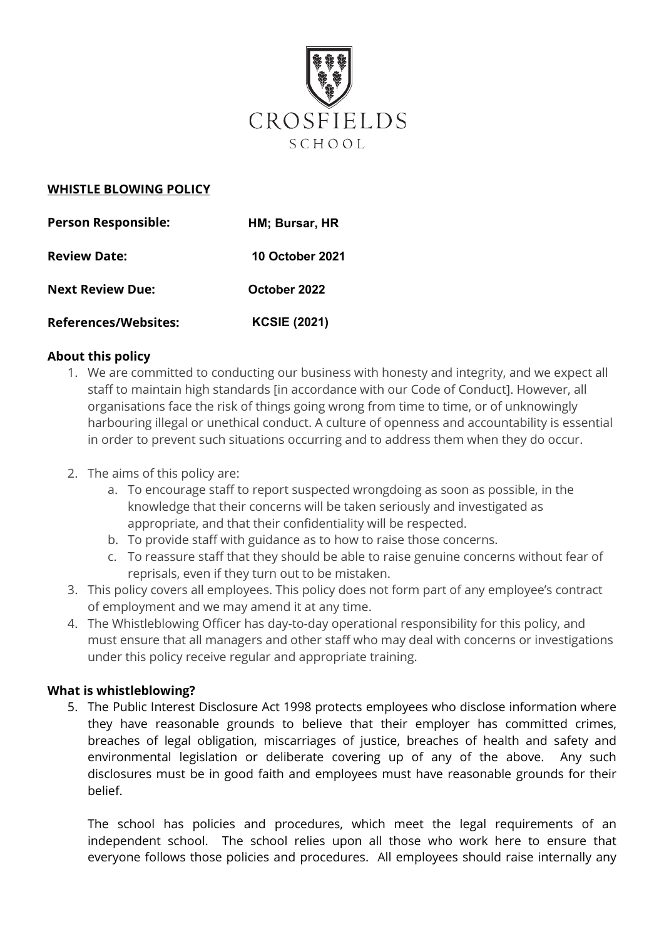

### **WHISTLE BLOWING POLICY**

| <b>Person Responsible:</b>  | HM; Bursar, HR         |
|-----------------------------|------------------------|
| <b>Review Date:</b>         | <b>10 October 2021</b> |
| <b>Next Review Due:</b>     | October 2022           |
| <b>References/Websites:</b> | <b>KCSIE (2021)</b>    |

### **About this policy**

- 1. We are committed to conducting our business with honesty and integrity, and we expect all staff to maintain high standards [in accordance with our Code of Conduct]. However, all organisations face the risk of things going wrong from time to time, or of unknowingly harbouring illegal or unethical conduct. A culture of openness and accountability is essential in order to prevent such situations occurring and to address them when they do occur.
- 2. The aims of this policy are:
	- a. To encourage staff to report suspected wrongdoing as soon as possible, in the knowledge that their concerns will be taken seriously and investigated as appropriate, and that their confidentiality will be respected.
	- b. To provide staff with guidance as to how to raise those concerns.
	- c. To reassure staff that they should be able to raise genuine concerns without fear of reprisals, even if they turn out to be mistaken.
- 3. This policy covers all employees. This policy does not form part of any employee's contract of employment and we may amend it at any time.
- 4. The Whistleblowing Officer has day-to-day operational responsibility for this policy, and must ensure that all managers and other staff who may deal with concerns or investigations under this policy receive regular and appropriate training.

### **What is whistleblowing?**

5. The Public Interest Disclosure Act 1998 protects employees who disclose information where they have reasonable grounds to believe that their employer has committed crimes, breaches of legal obligation, miscarriages of justice, breaches of health and safety and environmental legislation or deliberate covering up of any of the above. Any such disclosures must be in good faith and employees must have reasonable grounds for their belief.

The school has policies and procedures, which meet the legal requirements of an independent school. The school relies upon all those who work here to ensure that everyone follows those policies and procedures. All employees should raise internally any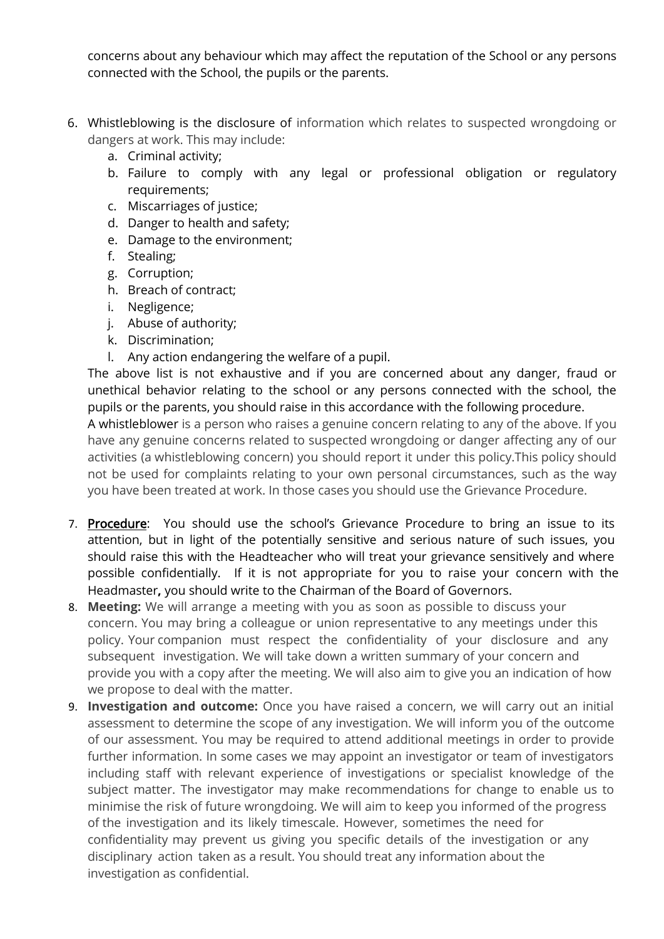concerns about any behaviour which may affect the reputation of the School or any persons connected with the School, the pupils or the parents.

- 6. Whistleblowing is the disclosure of information which relates to suspected wrongdoing or dangers at work. This may include:
	- a. Criminal activity;
	- b. Failure to comply with any legal or professional obligation or regulatory requirements;
	- c. Miscarriages of justice;
	- d. Danger to health and safety;
	- e. Damage to the environment;
	- f. Stealing;
	- g. Corruption;
	- h. Breach of contract;
	- i. Negligence;
	- j. Abuse of authority;
	- k. Discrimination;
	- l. Any action endangering the welfare of a pupil.

The above list is not exhaustive and if you are concerned about any danger, fraud or unethical behavior relating to the school or any persons connected with the school, the pupils or the parents, you should raise in this accordance with the following procedure.

A whistleblower is a person who raises a genuine concern relating to any of the above. If you have any genuine concerns related to suspected wrongdoing or danger affecting any of our activities (a whistleblowing concern) you should report it under this policy.This policy should not be used for complaints relating to your own personal circumstances, such as the way you have been treated at work. In those cases you should use the Grievance Procedure.

- 7. Procedure: You should use the school's Grievance Procedure to bring an issue to its attention, but in light of the potentially sensitive and serious nature of such issues, you should raise this with the Headteacher who will treat your grievance sensitively and where possible confidentially. If it is not appropriate for you to raise your concern with the Headmaster**,** you should write to the Chairman of the Board of Governors.
- 8. **Meeting:** We will arrange a meeting with you as soon as possible to discuss your concern. You may bring a colleague or union representative to any meetings under this policy. Your companion must respect the confidentiality of your disclosure and any subsequent investigation. We will take down a written summary of your concern and provide you with a copy after the meeting. We will also aim to give you an indication of how we propose to deal with the matter.
- 9. **Investigation and outcome:** Once you have raised a concern, we will carry out an initial assessment to determine the scope of any investigation. We will inform you of the outcome of our assessment. You may be required to attend additional meetings in order to provide further information. In some cases we may appoint an investigator or team of investigators including staff with relevant experience of investigations or specialist knowledge of the subject matter. The investigator may make recommendations for change to enable us to minimise the risk of future wrongdoing. We will aim to keep you informed of the progress of the investigation and its likely timescale. However, sometimes the need for confidentiality may prevent us giving you specific details of the investigation or any disciplinary action taken as a result. You should treat any information about the investigation as confidential.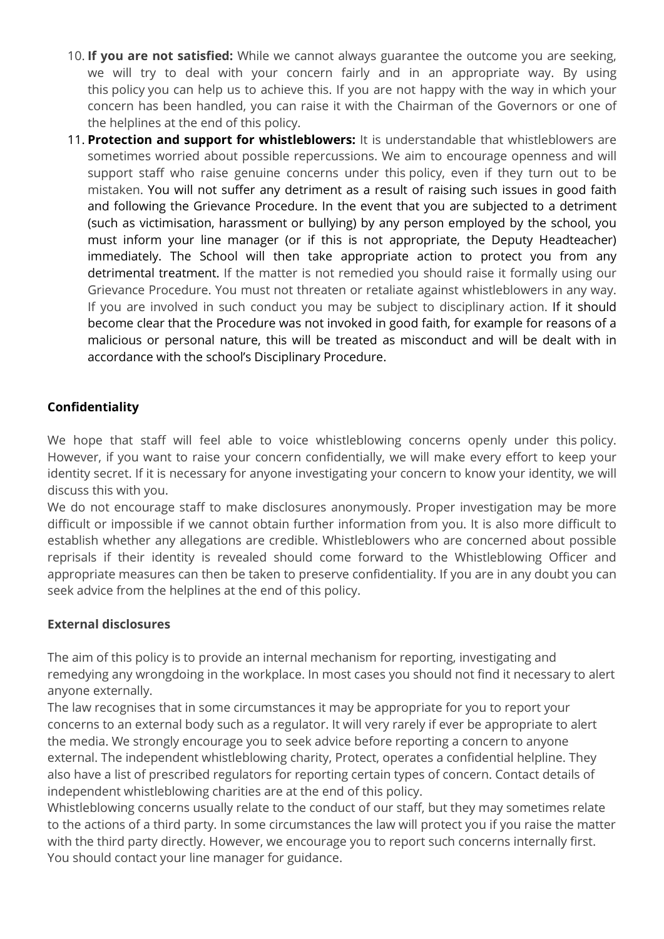- 10. **If you are not satisfied:** While we cannot always guarantee the outcome you are seeking, we will try to deal with your concern fairly and in an appropriate way. By using this policy you can help us to achieve this. If you are not happy with the way in which your concern has been handled, you can raise it with the Chairman of the Governors or one of the helplines at the end of this policy.
- 11. **Protection and support for whistleblowers:** It is understandable that whistleblowers are sometimes worried about possible repercussions. We aim to encourage openness and will support staff who raise genuine concerns under this policy, even if they turn out to be mistaken. You will not suffer any detriment as a result of raising such issues in good faith and following the Grievance Procedure. In the event that you are subjected to a detriment (such as victimisation, harassment or bullying) by any person employed by the school, you must inform your line manager (or if this is not appropriate, the Deputy Headteacher) immediately. The School will then take appropriate action to protect you from any detrimental treatment. If the matter is not remedied you should raise it formally using our Grievance Procedure. You must not threaten or retaliate against whistleblowers in any way. If you are involved in such conduct you may be subject to disciplinary action. If it should become clear that the Procedure was not invoked in good faith, for example for reasons of a malicious or personal nature, this will be treated as misconduct and will be dealt with in accordance with the school's Disciplinary Procedure.

# **Confidentiality**

We hope that staff will feel able to voice whistleblowing concerns openly under this policy. However, if you want to raise your concern confidentially, we will make every effort to keep your identity secret. If it is necessary for anyone investigating your concern to know your identity, we will discuss this with you.

We do not encourage staff to make disclosures anonymously. Proper investigation may be more difficult or impossible if we cannot obtain further information from you. It is also more difficult to establish whether any allegations are credible. Whistleblowers who are concerned about possible reprisals if their identity is revealed should come forward to the Whistleblowing Officer and appropriate measures can then be taken to preserve confidentiality. If you are in any doubt you can seek advice from the helplines at the end of this policy.

## **External disclosures**

The aim of this policy is to provide an internal mechanism for reporting, investigating and remedying any wrongdoing in the workplace. In most cases you should not find it necessary to alert anyone externally.

The law recognises that in some circumstances it may be appropriate for you to report your concerns to an external body such as a regulator. It will very rarely if ever be appropriate to alert the media. We strongly encourage you to seek advice before reporting a concern to anyone external. The independent whistleblowing charity, Protect, operates a confidential helpline. They also have a list of prescribed regulators for reporting certain types of concern. Contact details of independent whistleblowing charities are at the end of this policy.

Whistleblowing concerns usually relate to the conduct of our staff, but they may sometimes relate to the actions of a third party. In some circumstances the law will protect you if you raise the matter with the third party directly. However, we encourage you to report such concerns internally first. You should contact your line manager for guidance.